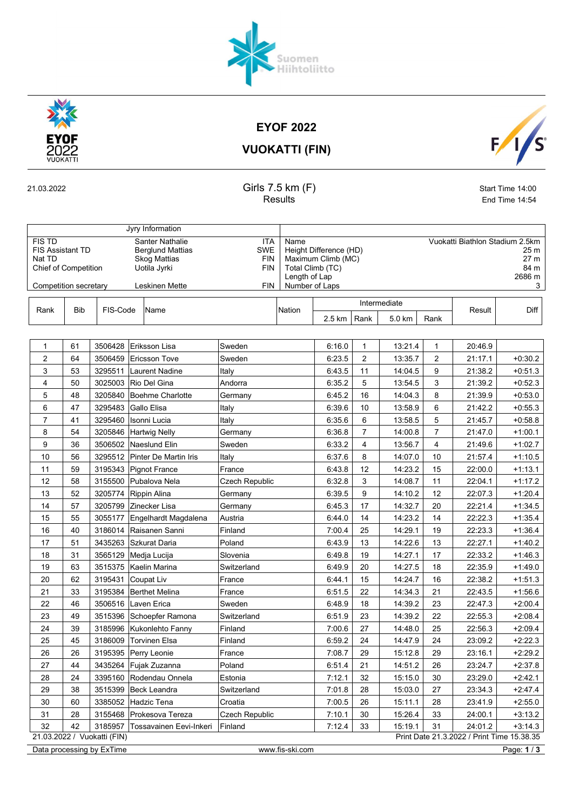

EYOF 2022

Suomen<br>Hiihtoliitto



VUOKATTI (FIN)

21.03.2022 Girls 7.5 km (F) Start Time 14:00

| Results | End Time 14:54 |
|---------|----------------|
|         |                |

|                         |                                             |  | Jyry Information        |            |                |                        |                                |        |                                 |      |                 |  |  |  |      |
|-------------------------|---------------------------------------------|--|-------------------------|------------|----------------|------------------------|--------------------------------|--------|---------------------------------|------|-----------------|--|--|--|------|
| <b>FIS TD</b>           |                                             |  | Santer Nathalie         | ITA        | Name           |                        |                                |        | Vuokatti Biathlon Stadium 2.5km |      |                 |  |  |  |      |
| <b>FIS Assistant TD</b> |                                             |  | <b>Berglund Mattias</b> | <b>SWE</b> |                | Height Difference (HD) |                                |        |                                 |      | 25 <sub>m</sub> |  |  |  |      |
| Nat TD                  |                                             |  | <b>Skog Mattias</b>     | <b>FIN</b> |                | Maximum Climb (MC)     |                                |        |                                 |      | 27 <sub>m</sub> |  |  |  |      |
|                         | <b>Chief of Competition</b><br>Uotila Jyrki |  |                         |            |                |                        | <b>FIN</b><br>Total Climb (TC) |        |                                 |      |                 |  |  |  | 84 m |
|                         |                                             |  | Length of Lap           |            |                | 2686 m                 |                                |        |                                 |      |                 |  |  |  |      |
|                         | Competition secretary                       |  | Leskinen Mette          | <b>FIN</b> | Number of Laps |                        |                                |        |                                 |      |                 |  |  |  |      |
|                         |                                             |  |                         |            |                |                        |                                |        |                                 |      |                 |  |  |  |      |
| Rank                    | <b>Bib</b><br>FIS-Code<br>Name              |  |                         |            |                |                        | Intermediate                   |        | Result                          | Diff |                 |  |  |  |      |
|                         |                                             |  |                         |            | Nation         | 2.5 km                 | Rank                           | 5.0 km | Rank                            |      |                 |  |  |  |      |

| 1              | 61 | 3506428                     | Eriksson Lisa                 | Sweden          | 6.16.0 | 1              | 13:21.4 | 1              | 20:46.9                                    |             |
|----------------|----|-----------------------------|-------------------------------|-----------------|--------|----------------|---------|----------------|--------------------------------------------|-------------|
| 2              | 64 | 3506459                     | <b>Ericsson Tove</b>          | Sweden          | 6:23.5 | 2              | 13:35.7 | $\overline{2}$ | 21:17.1                                    | $+0:30.2$   |
| 3              | 53 | 3295511                     | Laurent Nadine                | Italy           | 6:43.5 | 11             | 14:04.5 | 9              | 21:38.2                                    | $+0.51.3$   |
| 4              | 50 | 3025003                     | Rio Del Gina                  | Andorra         | 6:35.2 | 5              | 13:54.5 | 3              | 21:39.2                                    | $+0.52.3$   |
| 5              | 48 | 3205840                     | <b>Boehme Charlotte</b>       | Germany         | 6:45.2 | 16             | 14:04.3 | 8              | 21:39.9                                    | $+0.53.0$   |
| 6              | 47 | 3295483                     | Gallo Elisa                   |                 | 6:39.6 | 10             |         | 6              |                                            |             |
|                |    |                             |                               | Italy           |        | 6              | 13:58.9 | 5              | 21:42.2                                    | $+0.55.3$   |
| $\overline{7}$ | 41 | 3295460                     | Isonni Lucia                  | Italy           | 6:35.6 |                | 13:58.5 |                | 21:45.7                                    | $+0.58.8$   |
| 8              | 54 | 3205846                     | <b>Hartwig Nelly</b>          | Germany         | 6:36.8 | $\overline{7}$ | 14:00.8 | $\overline{7}$ | 21:47.0                                    | $+1:00.1$   |
| 9              | 36 | 3506502                     | <b>Naeslund Elin</b>          | Sweden          | 6:33.2 | 4              | 13:56.7 | 4              | 21:49.6                                    | $+1:02.7$   |
| 10             | 56 |                             | 3295512 Pinter De Martin Iris | Italy           | 6:37.6 | 8              | 14:07.0 | 10             | 21:57.4                                    | $+1:10.5$   |
| 11             | 59 | 3195343                     | Pignot France                 | France          | 6:43.8 | 12             | 14:23.2 | 15             | 22:00.0                                    | $+1:13.1$   |
| 12             | 58 | 3155500                     | Pubalova Nela                 | Czech Republic  | 6:32.8 | 3              | 14:08.7 | 11             | 22:04.1                                    | $+1:17.2$   |
| 13             | 52 | 3205774                     | Rippin Alina                  | Germany         | 6:39.5 | 9              | 14:10.2 | 12             | 22:07.3                                    | $+1:20.4$   |
| 14             | 57 | 3205799                     | Zinecker Lisa                 | Germany         | 6:45.3 | 17             | 14:32.7 | 20             | 22:21.4                                    | $+1:34.5$   |
| 15             | 55 | 3055177                     | Engelhardt Magdalena          | Austria         | 6:44.0 | 14             | 14:23.2 | 14             | 22:22.3                                    | $+1.35.4$   |
| 16             | 40 | 3186014                     | Raisanen Sanni                | Finland         | 7:00.4 | 25             | 14:29.1 | 19             | 22:23.3                                    | $+1.36.4$   |
| 17             | 51 | 3435263                     | <b>Szkurat Daria</b>          | Poland          | 6:43.9 | 13             | 14:22.6 | 13             | 22:27.1                                    | $+1.40.2$   |
| 18             | 31 | 3565129                     | Medja Lucija                  | Slovenia        | 6:49.8 | 19             | 14:27.1 | 17             | 22:33.2                                    | $+1:46.3$   |
| 19             | 63 | 3515375                     | Kaelin Marina                 | Switzerland     | 6:49.9 | 20             | 14:27.5 | 18             | 22:35.9                                    | $+1.49.0$   |
| 20             | 62 | 3195431                     | <b>Coupat Liv</b>             | France          | 6:44.1 | 15             | 14:24.7 | 16             | 22:38.2                                    | $+1:51.3$   |
| 21             | 33 | 3195384                     | <b>Berthet Melina</b>         | France          | 6:51.5 | 22             | 14:34.3 | 21             | 22:43.5                                    | $+1.56.6$   |
| 22             | 46 | 3506516                     | Laven Erica                   | Sweden          | 6:48.9 | 18             | 14:39.2 | 23             | 22:47.3                                    | $+2.00.4$   |
| 23             | 49 | 3515396                     | Schoepfer Ramona              | Switzerland     | 6:51.9 | 23             | 14:39.2 | 22             | 22:55.3                                    | $+2:08.4$   |
| 24             | 39 | 3185996                     | Kukonlehto Fanny              | Finland         | 7:00.6 | 27             | 14:48.0 | 25             | 22:56.3                                    | $+2.09.4$   |
| 25             | 45 | 3186009                     | <b>Torvinen Elsa</b>          | Finland         | 6:59.2 | 24             | 14:47.9 | 24             | 23:09.2                                    | $+2:22.3$   |
| 26             | 26 |                             | 3195395 Perry Leonie          | France          | 7:08.7 | 29             | 15:12.8 | 29             | 23:16.1                                    | $+2:29.2$   |
| 27             | 44 | 3435264                     | Fujak Zuzanna                 | Poland          | 6:51.4 | 21             | 14:51.2 | 26             | 23:24.7                                    | $+2:37.8$   |
| 28             | 24 | 3395160                     | Rodendau Onnela               | Estonia         | 7:12.1 | 32             | 15:15.0 | 30             | 23:29.0                                    | $+2.42.1$   |
| 29             | 38 | 3515399                     | Beck Leandra                  | Switzerland     | 7:01.8 | 28             | 15:03.0 | 27             | 23:34.3                                    | $+2:47.4$   |
| 30             | 60 | 3385052                     | Hadzic Tena                   | Croatia         | 7:00.5 | 26             | 15:11.1 | 28             | 23:41.9                                    | $+2:55.0$   |
| 31             | 28 |                             | 3155468 Prokesova Tereza      | Czech Republic  | 7:10.1 | 30             | 15:26.4 | 33             | 24:00.1                                    | $+3:13.2$   |
| 32             | 42 | 3185957                     | Tossavainen Eevi-Inkeri       | Finland         | 7:12.4 | 33             | 15:19.1 | 31             | 24:01.2                                    | $+3:14.3$   |
|                |    | 21.03.2022 / Vuokatti (FIN) |                               |                 |        |                |         |                | Print Date 21.3.2022 / Print Time 15.38.35 |             |
|                |    | Data processing by ExTime   |                               | www.fis-ski.com |        |                |         |                |                                            | Page: 1 / 3 |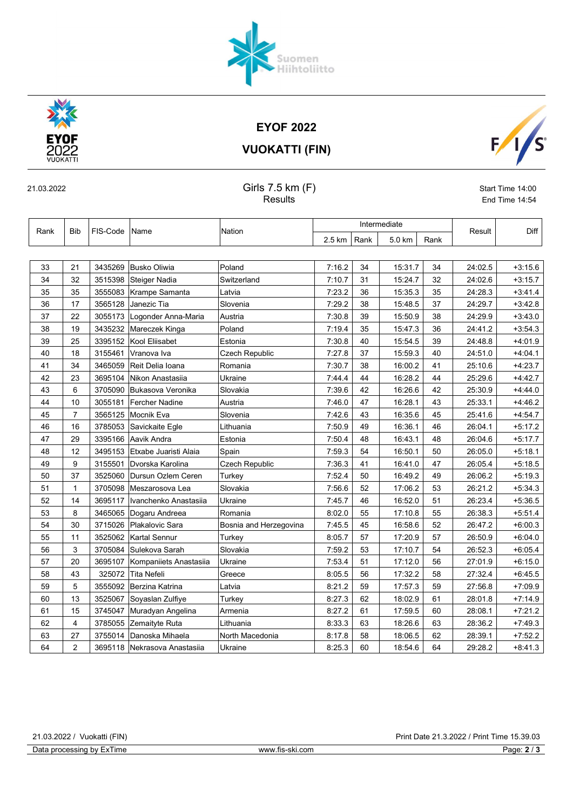## 21.03.2022 / Vuokatti (FIN) Print Date 21.3.2022 / Print Time 15.39.03

|  | Suomen<br>Hiihtoliitto |
|--|------------------------|
|  |                        |

## VUOKATTI (FIN)

| 21.03.2022 | Girls 7.5 km (F) | Start Time 14:00 |
|------------|------------------|------------------|
|            | Results          | End Time 14:54   |

| Rank | <b>Bib</b>     | FIS-Code Name |                                | <b>Nation</b>          | Intermediate |      |         |      | Result  | Diff      |
|------|----------------|---------------|--------------------------------|------------------------|--------------|------|---------|------|---------|-----------|
|      |                |               |                                |                        | 2.5 km       | Rank | 5.0 km  | Rank |         |           |
|      |                |               |                                |                        |              |      |         |      |         |           |
| 33   | 21             | 3435269       | Busko Oliwia                   | Poland                 | 7:16.2       | 34   | 15:31.7 | 34   | 24:02.5 | $+3.15.6$ |
| 34   | 32             | 3515398       | Steiger Nadia                  | Switzerland            | 7:10.7       | 31   | 15:24.7 | 32   | 24:02.6 | $+3:15.7$ |
| 35   | 35             |               | 3555083   Krampe Samanta       | Latvia                 | 7:23.2       | 36   | 15:35.3 | 35   | 24:28.3 | $+3.41.4$ |
| 36   | 17             |               | 3565128 Janezic Tia            | Slovenia               | 7:29.2       | 38   | 15:48.5 | 37   | 24:29.7 | $+3.42.8$ |
| 37   | 22             | 3055173       | Logonder Anna-Maria            | Austria                | 7:30.8       | 39   | 15:50.9 | 38   | 24:29.9 | $+3:43.0$ |
| 38   | 19             |               | 3435232 Mareczek Kinga         | Poland                 | 7:19.4       | 35   | 15:47.3 | 36   | 24:41.2 | $+3.54.3$ |
| 39   | 25             |               | 3395152 Kool Eliisabet         | Estonia                | 7:30.8       | 40   | 15:54.5 | 39   | 24:48.8 | $+4.01.9$ |
| 40   | 18             | 3155461       | ∣Vranova Iva                   | Czech Republic         | 7:27.8       | 37   | 15:59.3 | 40   | 24:51.0 | $+4.04.1$ |
| 41   | 34             | 3465059       | Reit Delia Ioana               | Romania                | 7:30.7       | 38   | 16:00.2 | 41   | 25:10.6 | $+4.23.7$ |
| 42   | 23             | 3695104       | Nikon Anastasiia               | Ukraine                | 7:44.4       | 44   | 16:28.2 | 44   | 25:29.6 | $+4:42.7$ |
| 43   | 6              | 3705090       | Bukasova Veronika              | Slovakia               | 7:39.6       | 42   | 16:26.6 | 42   | 25:30.9 | $+4.44.0$ |
| 44   | 10             | 3055181       | <b>Fercher Nadine</b>          | Austria                | 7:46.0       | 47   | 16:28.1 | 43   | 25:33.1 | $+4:46.2$ |
| 45   | $\overline{7}$ | 3565125       | Mocnik Eva                     | Slovenia               | 7:42.6       | 43   | 16:35.6 | 45   | 25:41.6 | $+4:54.7$ |
| 46   | 16             | 3785053       | Savickaite Egle                | Lithuania              | 7:50.9       | 49   | 16:36.1 | 46   | 26:04.1 | $+5:17.2$ |
| 47   | 29             | 3395166       | Aavik Andra                    | Estonia                | 7:50.4       | 48   | 16:43.1 | 48   | 26:04.6 | $+5:17.7$ |
| 48   | 12             | 3495153       | Etxabe Juaristi Alaia          | Spain                  | 7:59.3       | 54   | 16:50.1 | 50   | 26:05.0 | $+5:18.1$ |
| 49   | 9              | 3155501       | Dvorska Karolina               | Czech Republic         | 7:36.3       | 41   | 16:41.0 | 47   | 26:05.4 | $+5:18.5$ |
| 50   | 37             | 3525060       | Dursun Ozlem Ceren             | Turkey                 | 7:52.4       | 50   | 16:49.2 | 49   | 26:06.2 | $+5:19.3$ |
| 51   | 1              | 3705098       | Meszarosova Lea                | Slovakia               | 7:56.6       | 52   | 17:06.2 | 53   | 26:21.2 | $+5:34.3$ |
| 52   | 14             | 3695117       | Ivanchenko Anastasija          | Ukraine                | 7:45.7       | 46   | 16:52.0 | 51   | 26:23.4 | $+5:36.5$ |
| 53   | 8              | 3465065       | Dogaru Andreea                 | Romania                | 8:02.0       | 55   | 17:10.8 | 55   | 26:38.3 | $+5:51.4$ |
| 54   | 30             | 3715026       | Plakalovic Sara                | Bosnia and Herzegovina | 7:45.5       | 45   | 16:58.6 | 52   | 26:47.2 | $+6:00.3$ |
| 55   | 11             |               | 3525062 Kartal Sennur          | Turkey                 | 8:05.7       | 57   | 17:20.9 | 57   | 26:50.9 | $+6.04.0$ |
| 56   | 3              | 3705084       | Sulekova Sarah                 | Slovakia               | 7:59.2       | 53   | 17:10.7 | 54   | 26:52.3 | $+6.05.4$ |
| 57   | 20             | 3695107       | Kompaniiets Anastasiia         | Ukraine                | 7:53.4       | 51   | 17:12.0 | 56   | 27:01.9 | $+6:15.0$ |
| 58   | 43             | 325072        | Tita Nefeli                    | Greece                 | 8:05.5       | 56   | 17:32.2 | 58   | 27:32.4 | $+6.45.5$ |
| 59   | 5              |               | 3555092 Berzina Katrina        | Latvia                 | 8:21.2       | 59   | 17:57.3 | 59   | 27:56.8 | $+7:09.9$ |
| 60   | 13             | 3525067       | Soyaslan Zulfiye               | Turkey                 | 8:27.3       | 62   | 18:02.9 | 61   | 28:01.8 | $+7:14.9$ |
| 61   | 15             | 3745047       | Muradyan Angelina              | Armenia                | 8:27.2       | 61   | 17:59.5 | 60   | 28:08.1 | $+7:21.2$ |
| 62   | $\overline{4}$ |               | 3785055 Zemaityte Ruta         | Lithuania              | 8:33.3       | 63   | 18:26.6 | 63   | 28:36.2 | $+7.49.3$ |
| 63   | 27             | 3755014       | Danoska Mihaela                | North Macedonia        | 8:17.8       | 58   | 18:06.5 | 62   | 28:39.1 | $+7:52.2$ |
| 64   | $\overline{2}$ |               | 3695118   Nekrasova Anastasija | Ukraine                | 8:25.3       | 60   | 18:54.6 | 64   | 29:28.2 | $+8.41.3$ |